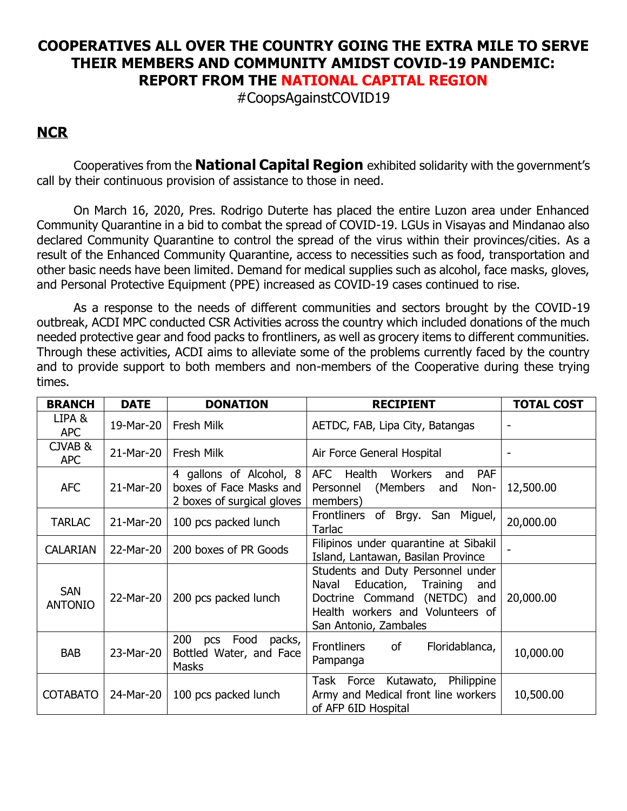## **COOPERATIVES ALL OVER THE COUNTRY GOING THE EXTRA MILE TO SERVE THEIR MEMBERS AND COMMUNITY AMIDST COVID-19 PANDEMIC: REPORT FROM THE NATIONAL CAPITAL REGION**

#CoopsAgainstCOVID19

## **NCR**

Cooperatives from the **National Capital Region** exhibited solidarity with the government's call by their continuous provision of assistance to those in need.

On March 16, 2020, Pres. Rodrigo Duterte has placed the entire Luzon area under Enhanced Community Quarantine in a bid to combat the spread of COVID-19. LGUs in Visayas and Mindanao also declared Community Quarantine to control the spread of the virus within their provinces/cities. As a result of the Enhanced Community Quarantine, access to necessities such as food, transportation and other basic needs have been limited. Demand for medical supplies such as alcohol, face masks, gloves, and Personal Protective Equipment (PPE) increased as COVID-19 cases continued to rise.

As a response to the needs of different communities and sectors brought by the COVID-19 outbreak, ACDI MPC conducted CSR Activities across the country which included donations of the much needed protective gear and food packs to frontliners, as well as grocery items to different communities. Through these activities, ACDI aims to alleviate some of the problems currently faced by the country and to provide support to both members and non-members of the Cooperative during these trying times.

| <b>BRANCH</b>                | <b>DATE</b> | <b>DONATION</b>                                                                  | <b>RECIPIENT</b>                                                                                                                                                            | <b>TOTAL COST</b> |
|------------------------------|-------------|----------------------------------------------------------------------------------|-----------------------------------------------------------------------------------------------------------------------------------------------------------------------------|-------------------|
| LIPA &<br><b>APC</b>         | 19-Mar-20   | <b>Fresh Milk</b>                                                                | AETDC, FAB, Lipa City, Batangas                                                                                                                                             |                   |
| CJVAB&<br><b>APC</b>         | 21-Mar-20   | Fresh Milk                                                                       | Air Force General Hospital                                                                                                                                                  |                   |
| <b>AFC</b>                   | 21-Mar-20   | 4 gallons of Alcohol, 8<br>boxes of Face Masks and<br>2 boxes of surgical gloves | Health Workers<br><b>AFC</b><br><b>PAF</b><br>and<br>(Members<br>Personnel<br>Non-<br>and<br>members)                                                                       | 12,500.00         |
| <b>TARLAC</b>                | 21-Mar-20   | 100 pcs packed lunch                                                             | Frontliners<br>of Brgy. San Miguel,<br>Tarlac                                                                                                                               | 20,000.00         |
| <b>CALARIAN</b>              | 22-Mar-20   | 200 boxes of PR Goods                                                            | Filipinos under quarantine at Sibakil<br>Island, Lantawan, Basilan Province                                                                                                 |                   |
| <b>SAN</b><br><b>ANTONIO</b> | 22-Mar-20   | 200 pcs packed lunch                                                             | Students and Duty Personnel under<br>Education,<br>Naval<br>Training<br>and<br>(NETDC) and<br>Doctrine Command<br>Health workers and Volunteers of<br>San Antonio, Zambales | 20,000.00         |
| <b>BAB</b>                   | 23-Mar-20   | 200<br>pcs Food<br>packs,<br>Bottled Water, and Face<br>Masks                    | <b>Frontliners</b><br>of<br>Floridablanca,<br>Pampanga                                                                                                                      | 10,000.00         |
| <b>COTABATO</b>              | 24-Mar-20   | 100 pcs packed lunch                                                             | Task Force Kutawato, Philippine<br>Army and Medical front line workers<br>of AFP 6ID Hospital                                                                               | 10,500.00         |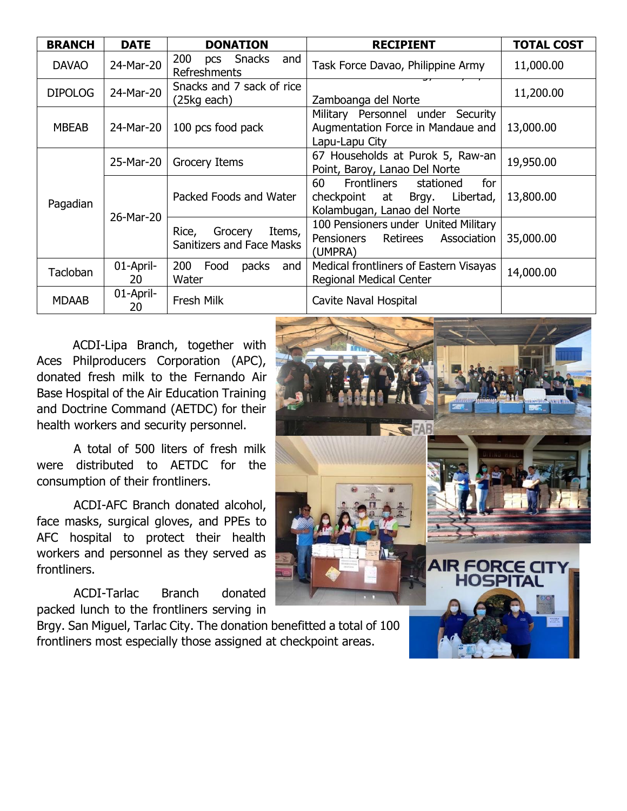| <b>BRANCH</b>  | <b>DATE</b>     | <b>DONATION</b>                                                | <b>RECIPIENT</b>                                                                                      | <b>TOTAL COST</b> |
|----------------|-----------------|----------------------------------------------------------------|-------------------------------------------------------------------------------------------------------|-------------------|
| <b>DAVAO</b>   | 24-Mar-20       | 200<br>pcs Snacks<br>and<br>Refreshments                       | Task Force Davao, Philippine Army                                                                     | 11,000.00         |
| <b>DIPOLOG</b> | 24-Mar-20       | Snacks and 7 sack of rice<br>(25kg each)                       | Zamboanga del Norte                                                                                   | 11,200.00         |
| <b>MBEAB</b>   | 24-Mar-20       | 100 pcs food pack                                              | Military Personnel under Security<br>Augmentation Force in Mandaue and<br>Lapu-Lapu City              | 13,000.00         |
| Pagadian       | 25-Mar-20       | Grocery Items                                                  | 67 Households at Purok 5, Raw-an<br>Point, Baroy, Lanao Del Norte                                     | 19,950.00         |
|                | 26-Mar-20       | Packed Foods and Water                                         | 60<br>Frontliners<br>stationed<br>for<br>checkpoint at Brgy. Libertad,<br>Kolambugan, Lanao del Norte | 13,800.00         |
|                |                 | Items,<br>Rice,<br>Grocery<br><b>Sanitizers and Face Masks</b> | 100 Pensioners under United Military<br>Pensioners<br>Retirees<br>Association<br>(UMPRA)              | 35,000.00         |
| Tacloban       | 01-April-<br>20 | 200<br>Food<br>packs<br>and<br>Water                           | Medical frontliners of Eastern Visayas<br><b>Regional Medical Center</b>                              | 14,000.00         |
| <b>MDAAB</b>   | 01-April-<br>20 | Fresh Milk                                                     | Cavite Naval Hospital                                                                                 |                   |

 ACDI-Lipa Branch, together with Aces Philproducers Corporation (APC), donated fresh milk to the Fernando Air Base Hospital of the Air Education Training and Doctrine Command (AETDC) for their health workers and security personnel.

A total of 500 liters of fresh milk were distributed to AETDC for the consumption of their frontliners.

ACDI-AFC Branch donated alcohol, face masks, surgical gloves, and PPEs to AFC hospital to protect their health workers and personnel as they served as frontliners.

ACDI-Tarlac Branch donated packed lunch to the frontliners serving in

Brgy. San Miguel, Tarlac City. The donation benefitted a total of 100 frontliners most especially those assigned at checkpoint areas.

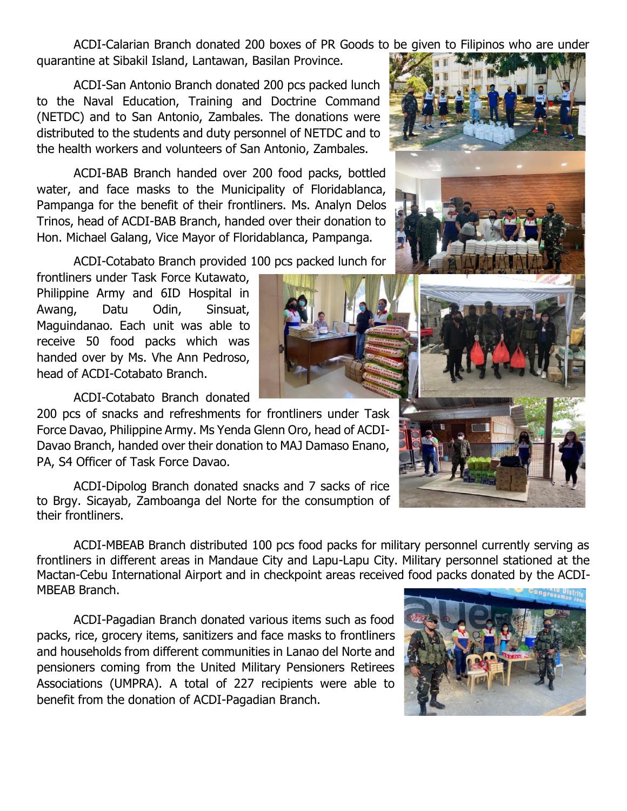ACDI-Calarian Branch donated 200 boxes of PR Goods to be given to Filipinos who are under quarantine at Sibakil Island, Lantawan, Basilan Province.

ACDI-San Antonio Branch donated 200 pcs packed lunch to the Naval Education, Training and Doctrine Command (NETDC) and to San Antonio, Zambales. The donations were distributed to the students and duty personnel of NETDC and to the health workers and volunteers of San Antonio, Zambales.

ACDI-BAB Branch handed over 200 food packs, bottled water, and face masks to the Municipality of Floridablanca, Pampanga for the benefit of their frontliners. Ms. Analyn Delos Trinos, head of ACDI-BAB Branch, handed over their donation to Hon. Michael Galang, Vice Mayor of Floridablanca, Pampanga.

ACDI-Cotabato Branch provided 100 pcs packed lunch for

frontliners under Task Force Kutawato, Philippine Army and 6ID Hospital in Awang, Datu Odin, Sinsuat, Maguindanao. Each unit was able to receive 50 food packs which was handed over by Ms. Vhe Ann Pedroso, head of ACDI-Cotabato Branch.

ACDI-Cotabato Branch donated

200 pcs of snacks and refreshments for frontliners under Task Force Davao, Philippine Army. Ms Yenda Glenn Oro, head of ACDI-Davao Branch, handed over their donation to MAJ Damaso Enano, PA, S4 Officer of Task Force Davao.

ACDI-Dipolog Branch donated snacks and 7 sacks of rice to Brgy. Sicayab, Zamboanga del Norte for the consumption of their frontliners.

ACDI-MBEAB Branch distributed 100 pcs food packs for military personnel currently serving as frontliners in different areas in Mandaue City and Lapu-Lapu City. Military personnel stationed at the Mactan-Cebu International Airport and in checkpoint areas received food packs donated by the ACDI-MBEAB Branch.

ACDI-Pagadian Branch donated various items such as food packs, rice, grocery items, sanitizers and face masks to frontliners and households from different communities in Lanao del Norte and pensioners coming from the United Military Pensioners Retirees Associations (UMPRA). A total of 227 recipients were able to benefit from the donation of ACDI-Pagadian Branch.